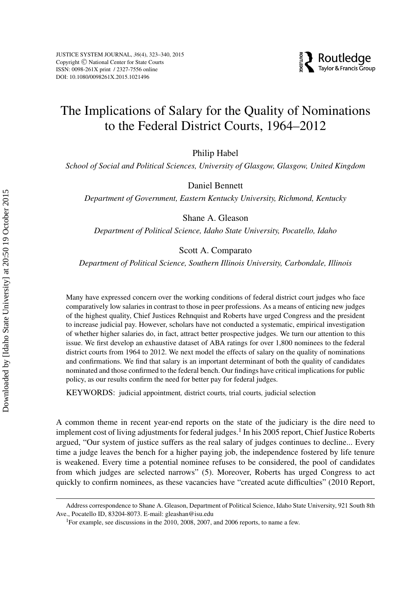JUSTICE SYSTEM JOURNAL, *36*(4), 323–340, 2015 Copyright  $\odot$  National Center for State Courts ISSN: 0098-261X print / 2327-7556 online DOI: 10.1080/0098261X.2015.1021496

# The Implications of Salary for the Quality of Nominations to the Federal District Courts, 1964–2012

Philip Habel

*School of Social and Political Sciences, University of Glasgow, Glasgow, United Kingdom*

Daniel Bennett

*Department of Government, Eastern Kentucky University, Richmond, Kentucky*

Shane A. Gleason

*Department of Political Science, Idaho State University, Pocatello, Idaho*

## Scott A. Comparato

*Department of Political Science, Southern Illinois University, Carbondale, Illinois*

Many have expressed concern over the working conditions of federal district court judges who face comparatively low salaries in contrast to those in peer professions. As a means of enticing new judges of the highest quality, Chief Justices Rehnquist and Roberts have urged Congress and the president to increase judicial pay. However, scholars have not conducted a systematic, empirical investigation of whether higher salaries do, in fact, attract better prospective judges. We turn our attention to this issue. We first develop an exhaustive dataset of ABA ratings for over 1,800 nominees to the federal district courts from 1964 to 2012. We next model the effects of salary on the quality of nominations and confirmations. We find that salary is an important determinant of both the quality of candidates nominated and those confirmed to the federal bench. Our findings have critical implications for public policy, as our results confirm the need for better pay for federal judges.

KEYWORDS: judicial appointment*,* district courts*,* trial courts*,* judicial selection

A common theme in recent year-end reports on the state of the judiciary is the dire need to implement cost of living adjustments for federal judges.<sup>1</sup> In his 2005 report, Chief Justice Roberts argued, "Our system of justice suffers as the real salary of judges continues to decline... Every time a judge leaves the bench for a higher paying job, the independence fostered by life tenure is weakened. Every time a potential nominee refuses to be considered, the pool of candidates from which judges are selected narrows" (5). Moreover, Roberts has urged Congress to act quickly to confirm nominees, as these vacancies have "created acute difficulties" (2010 Report,



Address correspondence to Shane A. Gleason, Department of Political Science, Idaho State University, 921 South 8th Ave., Pocatello ID, 83204-8073. E-mail: gleashan@isu.edu

<sup>1</sup>For example, see discussions in the 2010, 2008, 2007, and 2006 reports, to name a few.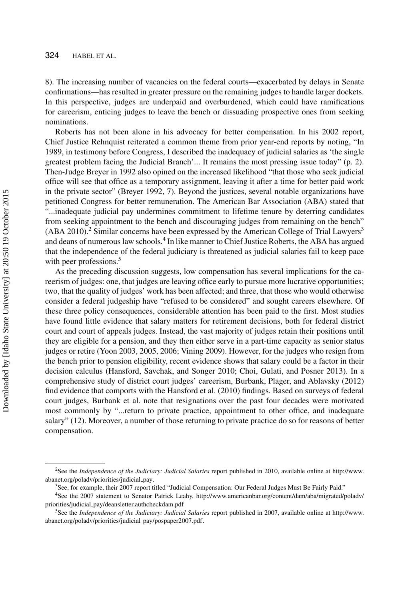8). The increasing number of vacancies on the federal courts—exacerbated by delays in Senate confirmations—has resulted in greater pressure on the remaining judges to handle larger dockets. In this perspective, judges are underpaid and overburdened, which could have ramifications for careerism, enticing judges to leave the bench or dissuading prospective ones from seeking nominations.

Roberts has not been alone in his advocacy for better compensation. In his 2002 report, Chief Justice Rehnquist reiterated a common theme from prior year-end reports by noting, "In 1989, in testimony before Congress, I described the inadequacy of judicial salaries as 'the single greatest problem facing the Judicial Branch'... It remains the most pressing issue today" (p. 2). Then-Judge Breyer in 1992 also opined on the increased likelihood "that those who seek judicial office will see that office as a temporary assignment, leaving it after a time for better paid work in the private sector" (Breyer 1992, 7). Beyond the justices, several notable organizations have petitioned Congress for better remuneration. The American Bar Association (ABA) stated that "...inadequate judicial pay undermines commitment to lifetime tenure by deterring candidates from seeking appointment to the bench and discouraging judges from remaining on the bench"  $(ABA 2010).$ <sup>2</sup> Similar concerns have been expressed by the American College of Trial Lawyers<sup>3</sup> and deans of numerous law schools.<sup>4</sup> In like manner to Chief Justice Roberts, the ABA has argued that the independence of the federal judiciary is threatened as judicial salaries fail to keep pace with peer professions.<sup>5</sup>

As the preceding discussion suggests, low compensation has several implications for the careerism of judges: one, that judges are leaving office early to pursue more lucrative opportunities; two, that the quality of judges' work has been affected; and three, that those who would otherwise consider a federal judgeship have "refused to be considered" and sought careers elsewhere. Of these three policy consequences, considerable attention has been paid to the first. Most studies have found little evidence that salary matters for retirement decisions, both for federal district court and court of appeals judges. Instead, the vast majority of judges retain their positions until they are eligible for a pension, and they then either serve in a part-time capacity as senior status judges or retire (Yoon 2003, 2005, 2006; Vining 2009). However, for the judges who resign from the bench prior to pension eligibility, recent evidence shows that salary could be a factor in their decision calculus (Hansford, Savchak, and Songer 2010; Choi, Gulati, and Posner 2013). In a comprehensive study of district court judges' careerism, Burbank, Plager, and Ablavsky (2012) find evidence that comports with the Hansford et al. (2010) findings. Based on surveys of federal court judges, Burbank et al. note that resignations over the past four decades were motivated most commonly by "...return to private practice, appointment to other office, and inadequate salary" (12). Moreover, a number of those returning to private practice do so for reasons of better compensation.

<sup>2</sup>See the *Independence of the Judiciary: Judicial Salaries* report published in 2010, available online at http://www. abanet.org/poladv/priorities/judicial\_pay.

<sup>3</sup>See, for example, their 2007 report titled "Judicial Compensation: Our Federal Judges Must Be Fairly Paid."

<sup>4</sup>See the 2007 statement to Senator Patrick Leahy, http://www.americanbar.org/content/dam/aba/migrated/poladv/ priorities/judicial pay/deansletter.authcheckdam.pdf

<sup>5</sup>See the *Independence of the Judiciary: Judicial Salaries* report published in 2007, available online at http://www. abanet.org/poladv/priorities/judicial pay/pospaper2007.pdf.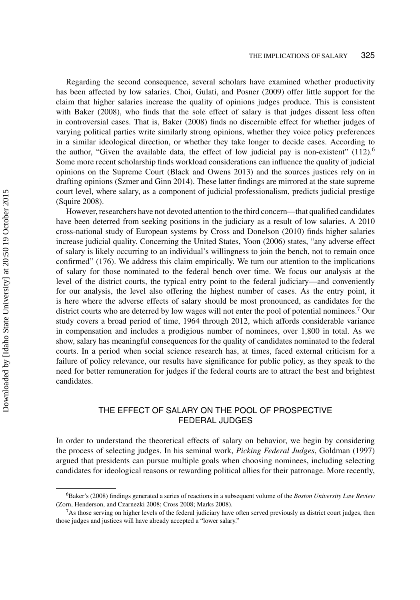Regarding the second consequence, several scholars have examined whether productivity has been affected by low salaries. Choi, Gulati, and Posner (2009) offer little support for the claim that higher salaries increase the quality of opinions judges produce. This is consistent with Baker (2008), who finds that the sole effect of salary is that judges dissent less often in controversial cases. That is, Baker (2008) finds no discernible effect for whether judges of varying political parties write similarly strong opinions, whether they voice policy preferences in a similar ideological direction, or whether they take longer to decide cases. According to the author, "Given the available data, the effect of low judicial pay is non-existent"  $(112)^6$ Some more recent scholarship finds workload considerations can influence the quality of judicial opinions on the Supreme Court (Black and Owens 2013) and the sources justices rely on in drafting opinions (Szmer and Ginn 2014). These latter findings are mirrored at the state supreme court level, where salary, as a component of judicial professionalism, predicts judicial prestige (Squire 2008).

However, researchers have not devoted attention to the third concern—that qualified candidates have been deterred from seeking positions in the judiciary as a result of low salaries. A 2010 cross-national study of European systems by Cross and Donelson (2010) finds higher salaries increase judicial quality. Concerning the United States, Yoon (2006) states, "any adverse effect of salary is likely occurring to an individual's willingness to join the bench, not to remain once confirmed" (176). We address this claim empirically. We turn our attention to the implications of salary for those nominated to the federal bench over time. We focus our analysis at the level of the district courts, the typical entry point to the federal judiciary—and conveniently for our analysis, the level also offering the highest number of cases. As the entry point, it is here where the adverse effects of salary should be most pronounced, as candidates for the district courts who are deterred by low wages will not enter the pool of potential nominees.<sup>7</sup> Our study covers a broad period of time, 1964 through 2012, which affords considerable variance in compensation and includes a prodigious number of nominees, over 1,800 in total. As we show, salary has meaningful consequences for the quality of candidates nominated to the federal courts. In a period when social science research has, at times, faced external criticism for a failure of policy relevance, our results have significance for public policy, as they speak to the need for better remuneration for judges if the federal courts are to attract the best and brightest candidates.

# THE EFFECT OF SALARY ON THE POOL OF PROSPECTIVE FEDERAL JUDGES

In order to understand the theoretical effects of salary on behavior, we begin by considering the process of selecting judges. In his seminal work, *Picking Federal Judges*, Goldman (1997) argued that presidents can pursue multiple goals when choosing nominees, including selecting candidates for ideological reasons or rewarding political allies for their patronage. More recently,

<sup>6</sup>Baker's (2008) findings generated a series of reactions in a subsequent volume of the *Boston University Law Review* (Zorn, Henderson, and Czarnezki 2008; Cross 2008; Marks 2008).

 $7$ As those serving on higher levels of the federal judiciary have often served previously as district court judges, then those judges and justices will have already accepted a "lower salary."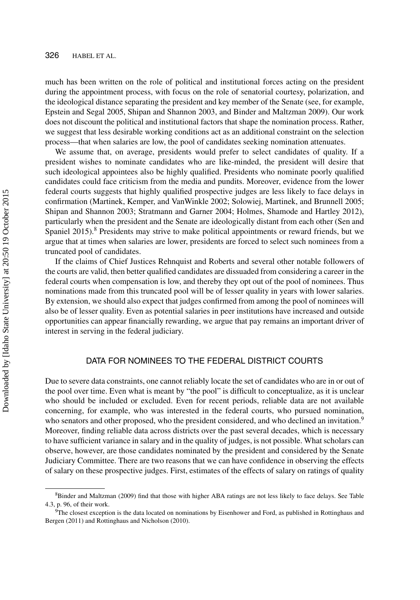much has been written on the role of political and institutional forces acting on the president during the appointment process, with focus on the role of senatorial courtesy, polarization, and the ideological distance separating the president and key member of the Senate (see, for example, Epstein and Segal 2005, Shipan and Shannon 2003, and Binder and Maltzman 2009). Our work does not discount the political and institutional factors that shape the nomination process. Rather, we suggest that less desirable working conditions act as an additional constraint on the selection process—that when salaries are low, the pool of candidates seeking nomination attenuates.

We assume that, on average, presidents would prefer to select candidates of quality. If a president wishes to nominate candidates who are like-minded, the president will desire that such ideological appointees also be highly qualified. Presidents who nominate poorly qualified candidates could face criticism from the media and pundits. Moreover, evidence from the lower federal courts suggests that highly qualified prospective judges are less likely to face delays in confirmation (Martinek, Kemper, and VanWinkle 2002; Solowiej, Martinek, and Brunnell 2005; Shipan and Shannon 2003; Stratmann and Garner 2004; Holmes, Shamode and Hartley 2012), particularly when the president and the Senate are ideologically distant from each other (Sen and Spaniel 2015).<sup>8</sup> Presidents may strive to make political appointments or reward friends, but we argue that at times when salaries are lower, presidents are forced to select such nominees from a truncated pool of candidates.

If the claims of Chief Justices Rehnquist and Roberts and several other notable followers of the courts are valid, then better qualified candidates are dissuaded from considering a career in the federal courts when compensation is low, and thereby they opt out of the pool of nominees. Thus nominations made from this truncated pool will be of lesser quality in years with lower salaries. By extension, we should also expect that judges confirmed from among the pool of nominees will also be of lesser quality. Even as potential salaries in peer institutions have increased and outside opportunities can appear financially rewarding, we argue that pay remains an important driver of interest in serving in the federal judiciary.

# DATA FOR NOMINEES TO THE FEDERAL DISTRICT COURTS

Due to severe data constraints, one cannot reliably locate the set of candidates who are in or out of the pool over time. Even what is meant by "the pool" is difficult to conceptualize, as it is unclear who should be included or excluded. Even for recent periods, reliable data are not available concerning, for example, who was interested in the federal courts, who pursued nomination, who senators and other proposed, who the president considered, and who declined an invitation.<sup>9</sup> Moreover, finding reliable data across districts over the past several decades, which is necessary to have sufficient variance in salary and in the quality of judges, is not possible. What scholars can observe, however, are those candidates nominated by the president and considered by the Senate Judiciary Committee. There are two reasons that we can have confidence in observing the effects of salary on these prospective judges. First, estimates of the effects of salary on ratings of quality

<sup>8</sup>Binder and Maltzman (2009) find that those with higher ABA ratings are not less likely to face delays. See Table 4.3, p. 96, of their work.

 $9$ The closest exception is the data located on nominations by Eisenhower and Ford, as published in Rottinghaus and Bergen (2011) and Rottinghaus and Nicholson (2010).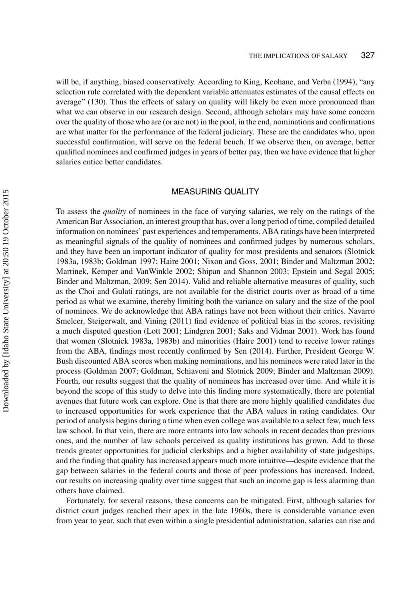will be, if anything, biased conservatively. According to King, Keohane, and Verba (1994), "any selection rule correlated with the dependent variable attenuates estimates of the causal effects on average" (130). Thus the effects of salary on quality will likely be even more pronounced than what we can observe in our research design. Second, although scholars may have some concern over the quality of those who are (or are not) in the pool, in the end, nominations and confirmations are what matter for the performance of the federal judiciary. These are the candidates who, upon successful confirmation, will serve on the federal bench. If we observe then, on average, better qualified nominees and confirmed judges in years of better pay, then we have evidence that higher salaries entice better candidates.

## MEASURING QUALITY

To assess the *quality* of nominees in the face of varying salaries, we rely on the ratings of the American Bar Association, an interest group that has, over a long period of time, compiled detailed information on nominees' past experiences and temperaments. ABA ratings have been interpreted as meaningful signals of the quality of nominees and confirmed judges by numerous scholars, and they have been an important indicator of quality for most presidents and senators (Slotnick 1983a, 1983b; Goldman 1997; Haire 2001; Nixon and Goss, 2001; Binder and Maltzman 2002; Martinek, Kemper and VanWinkle 2002; Shipan and Shannon 2003; Epstein and Segal 2005; Binder and Maltzman, 2009; Sen 2014). Valid and reliable alternative measures of quality, such as the Choi and Gulati ratings, are not available for the district courts over as broad of a time period as what we examine, thereby limiting both the variance on salary and the size of the pool of nominees. We do acknowledge that ABA ratings have not been without their critics. Navarro Smelcer, Steigerwalt, and Vining (2011) find evidence of political bias in the scores, revisiting a much disputed question (Lott 2001; Lindgren 2001; Saks and Vidmar 2001). Work has found that women (Slotnick 1983a, 1983b) and minorities (Haire 2001) tend to receive lower ratings from the ABA, findings most recently confirmed by Sen (2014). Further, President George W. Bush discounted ABA scores when making nominations, and his nominees were rated later in the process (Goldman 2007; Goldman, Schiavoni and Slotnick 2009; Binder and Maltzman 2009). Fourth, our results suggest that the quality of nominees has increased over time. And while it is beyond the scope of this study to delve into this finding more systematically, there are potential avenues that future work can explore. One is that there are more highly qualified candidates due to increased opportunities for work experience that the ABA values in rating candidates. Our period of analysis begins during a time when even college was available to a select few, much less law school. In that vein, there are more entrants into law schools in recent decades than previous ones, and the number of law schools perceived as quality institutions has grown. Add to those trends greater opportunities for judicial clerkships and a higher availability of state judgeships, and the finding that quality has increased appears much more intuitive—despite evidence that the gap between salaries in the federal courts and those of peer professions has increased. Indeed, our results on increasing quality over time suggest that such an income gap is less alarming than others have claimed.

Fortunately, for several reasons, these concerns can be mitigated. First, although salaries for district court judges reached their apex in the late 1960s, there is considerable variance even from year to year, such that even within a single presidential administration, salaries can rise and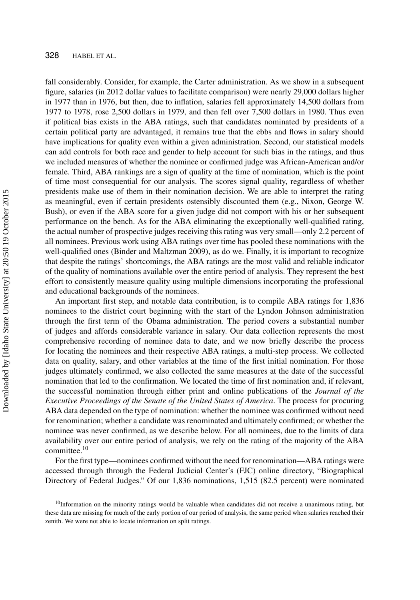fall considerably. Consider, for example, the Carter administration. As we show in a subsequent figure, salaries (in 2012 dollar values to facilitate comparison) were nearly 29,000 dollars higher in 1977 than in 1976, but then, due to inflation, salaries fell approximately 14,500 dollars from 1977 to 1978, rose 2,500 dollars in 1979, and then fell over 7,500 dollars in 1980. Thus even if political bias exists in the ABA ratings, such that candidates nominated by presidents of a certain political party are advantaged, it remains true that the ebbs and flows in salary should have implications for quality even within a given administration. Second, our statistical models can add controls for both race and gender to help account for such bias in the ratings, and thus we included measures of whether the nominee or confirmed judge was African-American and/or female. Third, ABA rankings are a sign of quality at the time of nomination, which is the point of time most consequential for our analysis. The scores signal quality, regardless of whether presidents make use of them in their nomination decision. We are able to interpret the rating as meaningful, even if certain presidents ostensibly discounted them (e.g., Nixon, George W. Bush), or even if the ABA score for a given judge did not comport with his or her subsequent performance on the bench. As for the ABA eliminating the exceptionally well-qualified rating, the actual number of prospective judges receiving this rating was very small—only 2.2 percent of all nominees. Previous work using ABA ratings over time has pooled these nominations with the well-qualified ones (Binder and Maltzman 2009), as do we. Finally, it is important to recognize that despite the ratings' shortcomings, the ABA ratings are the most valid and reliable indicator of the quality of nominations available over the entire period of analysis. They represent the best effort to consistently measure quality using multiple dimensions incorporating the professional and educational backgrounds of the nominees.

An important first step, and notable data contribution, is to compile ABA ratings for 1,836 nominees to the district court beginning with the start of the Lyndon Johnson administration through the first term of the Obama administration. The period covers a substantial number of judges and affords considerable variance in salary. Our data collection represents the most comprehensive recording of nominee data to date, and we now briefly describe the process for locating the nominees and their respective ABA ratings, a multi-step process. We collected data on quality, salary, and other variables at the time of the first initial nomination. For those judges ultimately confirmed, we also collected the same measures at the date of the successful nomination that led to the confirmation. We located the time of first nomination and, if relevant, the successful nomination through either print and online publications of the *Journal of the Executive Proceedings of the Senate of the United States of America*. The process for procuring ABA data depended on the type of nomination: whether the nominee was confirmed without need for renomination; whether a candidate was renominated and ultimately confirmed; or whether the nominee was never confirmed, as we describe below. For all nominees, due to the limits of data availability over our entire period of analysis, we rely on the rating of the majority of the ABA committee.<sup>10</sup>

For the first type—nominees confirmed without the need for renomination—ABA ratings were accessed through through the Federal Judicial Center's (FJC) online directory, "Biographical Directory of Federal Judges." Of our 1,836 nominations, 1,515 (82.5 percent) were nominated

 $10$ Information on the minority ratings would be valuable when candidates did not receive a unanimous rating, but these data are missing for much of the early portion of our period of analysis, the same period when salaries reached their zenith. We were not able to locate information on split ratings.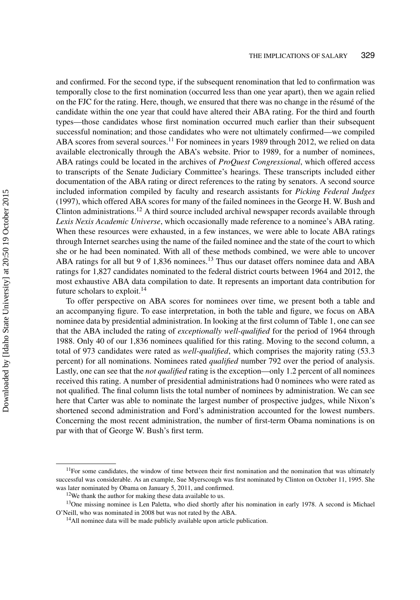and confirmed. For the second type, if the subsequent renomination that led to confirmation was temporally close to the first nomination (occurred less than one year apart), then we again relied on the FJC for the rating. Here, though, we ensured that there was no change in the résumé of the candidate within the one year that could have altered their ABA rating. For the third and fourth types—those candidates whose first nomination occurred much earlier than their subsequent successful nomination; and those candidates who were not ultimately confirmed—we compiled ABA scores from several sources.<sup>11</sup> For nominees in years 1989 through 2012, we relied on data available electronically through the ABA's website. Prior to 1989, for a number of nominees, ABA ratings could be located in the archives of *ProQuest Congressional*, which offered access to transcripts of the Senate Judiciary Committee's hearings. These transcripts included either documentation of the ABA rating or direct references to the rating by senators. A second source included information compiled by faculty and research assistants for *Picking Federal Judges* (1997), which offered ABA scores for many of the failed nominees in the George H. W. Bush and Clinton administrations.<sup>12</sup> A third source included archival newspaper records available through *Lexis Nexis Academic Universe*, which occasionally made reference to a nominee's ABA rating. When these resources were exhausted, in a few instances, we were able to locate ABA ratings through Internet searches using the name of the failed nominee and the state of the court to which she or he had been nominated. With all of these methods combined, we were able to uncover ABA ratings for all but 9 of 1,836 nominees. $13$  Thus our dataset offers nominee data and ABA ratings for 1,827 candidates nominated to the federal district courts between 1964 and 2012, the most exhaustive ABA data compilation to date. It represents an important data contribution for future scholars to exploit.<sup>14</sup>

To offer perspective on ABA scores for nominees over time, we present both a table and an accompanying figure. To ease interpretation, in both the table and figure, we focus on ABA nominee data by presidential administration. In looking at the first column of Table 1, one can see that the ABA included the rating of *exceptionally well-qualified* for the period of 1964 through 1988. Only 40 of our 1,836 nominees qualified for this rating. Moving to the second column, a total of 973 candidates were rated as *well-qualified*, which comprises the majority rating (53.3 percent) for all nominations. Nominees rated *qualified* number 792 over the period of analysis. Lastly, one can see that the *not qualified* rating is the exception—only 1.2 percent of all nominees received this rating. A number of presidential administrations had 0 nominees who were rated as not qualified. The final column lists the total number of nominees by administration. We can see here that Carter was able to nominate the largest number of prospective judges, while Nixon's shortened second administration and Ford's administration accounted for the lowest numbers. Concerning the most recent administration, the number of first-term Obama nominations is on par with that of George W. Bush's first term.

<sup>&</sup>lt;sup>11</sup>For some candidates, the window of time between their first nomination and the nomination that was ultimately successful was considerable. As an example, Sue Myerscough was first nominated by Clinton on October 11, 1995. She was later nominated by Obama on January 5, 2011, and confirmed.

 $12$ We thank the author for making these data available to us.

<sup>&</sup>lt;sup>13</sup>One missing nominee is Len Paletta, who died shortly after his nomination in early 1978. A second is Michael O'Neill, who was nominated in 2008 but was not rated by the ABA.

<sup>&</sup>lt;sup>14</sup>All nominee data will be made publicly available upon article publication.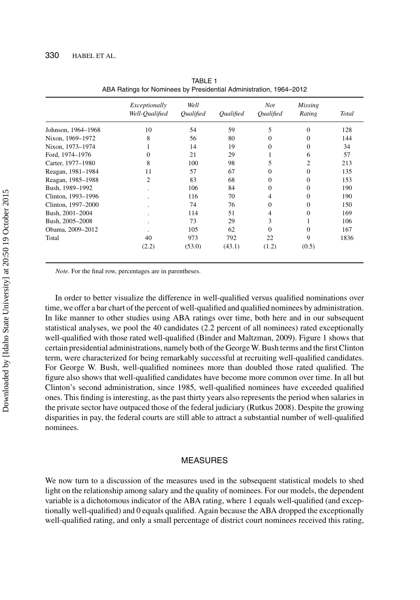|                    | Exceptionally<br>Well-Qualified | Well<br>Qualified | Qualified | Not<br>Qualified | <b>Missing</b><br>Rating | Total |
|--------------------|---------------------------------|-------------------|-----------|------------------|--------------------------|-------|
| Johnson, 1964–1968 | 10                              | 54                | 59        | 5                | $\Omega$                 | 128   |
| Nixon, 1969-1972   | 8                               | 56                | 80        | $\Omega$         | $\Omega$                 | 144   |
| Nixon, 1973-1974   |                                 | 14                | 19        | $\Omega$         | $\Omega$                 | 34    |
| Ford, 1974-1976    | $\Omega$                        | 21                | 29        |                  | 6                        | 57    |
| Carter, 1977–1980  | 8                               | 100               | 98        | 5                | 2                        | 213   |
| Reagan, 1981-1984  | 11                              | 57                | 67        | $\Omega$         | $\Omega$                 | 135   |
| Reagan, 1985-1988  | 2                               | 83                | 68        | $\Omega$         | $\Omega$                 | 153   |
| Bush, 1989-1992    | $\blacksquare$                  | 106               | 84        | $\Omega$         | $\Omega$                 | 190   |
| Clinton, 1993-1996 |                                 | 116               | 70        | 4                | $\Omega$                 | 190   |
| Clinton, 1997-2000 |                                 | 74                | 76        | $\Omega$         | $\Omega$                 | 150   |
| Bush, 2001-2004    |                                 | 114               | 51        | 4                | $\Omega$                 | 169   |
| Bush, 2005-2008    |                                 | 73                | 29        | 3                |                          | 106   |
| Obama, 2009-2012   |                                 | 105               | 62        | $\Omega$         | $\Omega$                 | 167   |
| Total              | 40                              | 973               | 792       | 22               | 9                        | 1836  |
|                    | (2.2)                           | (53.0)            | (43.1)    | (1.2)            | (0.5)                    |       |

TABLE 1 ABA Ratings for Nominees by Presidential Administration, 1964–2012

*Note.* For the final row, percentages are in parentheses.

In order to better visualize the difference in well-qualified versus qualified nominations over time, we offer a bar chart of the percent of well-qualified and qualified nominees by administration. In like manner to other studies using ABA ratings over time, both here and in our subsequent statistical analyses, we pool the 40 candidates (2.2 percent of all nominees) rated exceptionally well-qualified with those rated well-qualified (Binder and Maltzman, 2009). Figure 1 shows that certain presidential administrations, namely both of the George W. Bush terms and the first Clinton term, were characterized for being remarkably successful at recruiting well-qualified candidates. For George W. Bush, well-qualified nominees more than doubled those rated qualified. The figure also shows that well-qualified candidates have become more common over time. In all but Clinton's second administration, since 1985, well-qualified nominees have exceeded qualified ones. This finding is interesting, as the past thirty years also represents the period when salaries in the private sector have outpaced those of the federal judiciary (Rutkus 2008). Despite the growing disparities in pay, the federal courts are still able to attract a substantial number of well-qualified nominees.

# MEASURES

We now turn to a discussion of the measures used in the subsequent statistical models to shed light on the relationship among salary and the quality of nominees. For our models, the dependent variable is a dichotomous indicator of the ABA rating, where 1 equals well-qualified (and exceptionally well-qualified) and 0 equals qualified. Again because the ABA dropped the exceptionally well-qualified rating, and only a small percentage of district court nominees received this rating,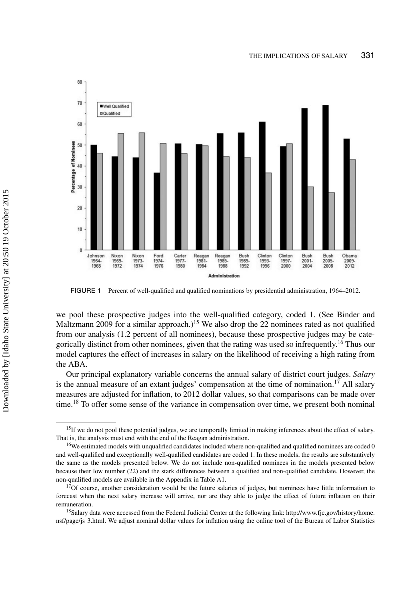

FIGURE 1 Percent of well-qualified and qualified nominations by presidential administration, 1964–2012.

we pool these prospective judges into the well-qualified category, coded 1. (See Binder and Maltzmann 2009 for a similar approach.)<sup>15</sup> We also drop the 22 nominees rated as not qualified from our analysis (1.2 percent of all nominees), because these prospective judges may be categorically distinct from other nominees, given that the rating was used so infrequently.<sup>16</sup> Thus our model captures the effect of increases in salary on the likelihood of receiving a high rating from the ABA.

Our principal explanatory variable concerns the annual salary of district court judges. *Salary* is the annual measure of an extant judges' compensation at the time of nomination.<sup>17</sup> All salary measures are adjusted for inflation, to 2012 dollar values, so that comparisons can be made over time.<sup>18</sup> To offer some sense of the variance in compensation over time, we present both nominal

 $15$ If we do not pool these potential judges, we are temporally limited in making inferences about the effect of salary. That is, the analysis must end with the end of the Reagan administration.

<sup>&</sup>lt;sup>16</sup>We estimated models with unqualified candidates included where non-qualified and qualified nominees are coded 0 and well-qualified and exceptionally well-qualified candidates are coded 1. In these models, the results are substantively the same as the models presented below. We do not include non-qualified nominees in the models presented below because their low number (22) and the stark differences between a qualified and non-qualified candidate. However, the non-qualified models are available in the Appendix in Table A1.

 $17$ Of course, another consideration would be the future salaries of judges, but nominees have little information to forecast when the next salary increase will arrive, nor are they able to judge the effect of future inflation on their remuneration.

<sup>&</sup>lt;sup>18</sup>Salary data were accessed from the Federal Judicial Center at the following link: http://www.fjc.gov/history/home. nsf/page/js 3.html. We adjust nominal dollar values for inflation using the online tool of the Bureau of Labor Statistics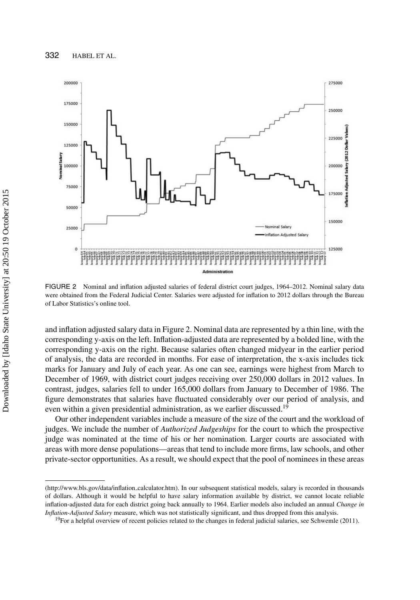

FIGURE 2 Nominal and inflation adjusted salaries of federal district court judges, 1964–2012. Nominal salary data were obtained from the Federal Judicial Center. Salaries were adjusted for inflation to 2012 dollars through the Bureau of Labor Statistics's online tool.

and inflation adjusted salary data in Figure 2. Nominal data are represented by a thin line, with the corresponding y-axis on the left. Inflation-adjusted data are represented by a bolded line, with the corresponding y-axis on the right. Because salaries often changed midyear in the earlier period of analysis, the data are recorded in months. For ease of interpretation, the x-axis includes tick marks for January and July of each year. As one can see, earnings were highest from March to December of 1969, with district court judges receiving over 250,000 dollars in 2012 values. In contrast, judges, salaries fell to under 165,000 dollars from January to December of 1986. The figure demonstrates that salaries have fluctuated considerably over our period of analysis, and even within a given presidential administration, as we earlier discussed.<sup>19</sup>

Our other independent variables include a measure of the size of the court and the workload of judges. We include the number of *Authorized Judgeships* for the court to which the prospective judge was nominated at the time of his or her nomination. Larger courts are associated with areas with more dense populations—areas that tend to include more firms, law schools, and other private-sector opportunities. As a result, we should expect that the pool of nominees in these areas

<sup>(</sup>http://www.bls.gov/data/inflation calculator.htm). In our subsequent statistical models, salary is recorded in thousands of dollars. Although it would be helpful to have salary information available by district, we cannot locate reliable inflation-adjusted data for each district going back annually to 1964. Earlier models also included an annual *Change in Inflation-Adjusted Salary* measure, which was not statistically significant, and thus dropped from this analysis.

<sup>&</sup>lt;sup>19</sup>For a helpful overview of recent policies related to the changes in federal judicial salaries, see Schwemle (2011).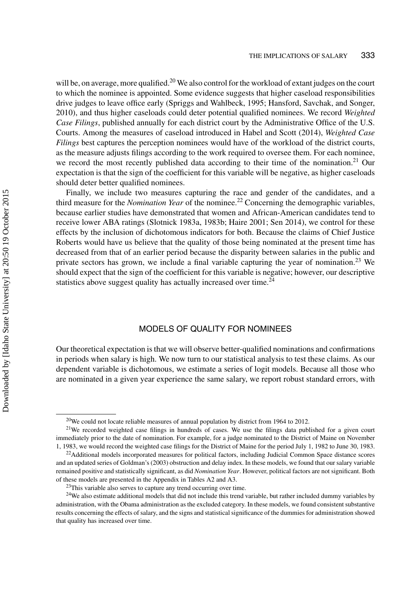will be, on average, more qualified.<sup>20</sup> We also control for the workload of extant judges on the court to which the nominee is appointed. Some evidence suggests that higher caseload responsibilities drive judges to leave office early (Spriggs and Wahlbeck, 1995; Hansford, Savchak, and Songer, 2010), and thus higher caseloads could deter potential qualified nominees. We record *Weighted Case Filings*, published annually for each district court by the Administrative Office of the U.S. Courts. Among the measures of caseload introduced in Habel and Scott (2014), *Weighted Case Filings* best captures the perception nominees would have of the workload of the district courts, as the measure adjusts filings according to the work required to oversee them. For each nominee, we record the most recently published data according to their time of the nomination.<sup>21</sup> Our expectation is that the sign of the coefficient for this variable will be negative, as higher caseloads should deter better qualified nominees.

Finally, we include two measures capturing the race and gender of the candidates, and a third measure for the *Nomination Year* of the nominee.<sup>22</sup> Concerning the demographic variables, because earlier studies have demonstrated that women and African-American candidates tend to receive lower ABA ratings (Slotnick 1983a, 1983b; Haire 2001; Sen 2014), we control for these effects by the inclusion of dichotomous indicators for both. Because the claims of Chief Justice Roberts would have us believe that the quality of those being nominated at the present time has decreased from that of an earlier period because the disparity between salaries in the public and private sectors has grown, we include a final variable capturing the year of nomination.<sup>23</sup> We should expect that the sign of the coefficient for this variable is negative; however, our descriptive statistics above suggest quality has actually increased over time. $^{24}$ 

# MODELS OF QUALITY FOR NOMINEES

Our theoretical expectation is that we will observe better-qualified nominations and confirmations in periods when salary is high. We now turn to our statistical analysis to test these claims. As our dependent variable is dichotomous, we estimate a series of logit models. Because all those who are nominated in a given year experience the same salary, we report robust standard errors, with

 $20$ We could not locate reliable measures of annual population by district from 1964 to 2012.

<sup>21</sup>We recorded weighted case filings in hundreds of cases. We use the filings data published for a given court immediately prior to the date of nomination. For example, for a judge nominated to the District of Maine on November 1, 1983, we would record the weighted case filings for the District of Maine for the period July 1, 1982 to June 30, 1983.

 $22$ Additional models incorporated measures for political factors, including Judicial Common Space distance scores and an updated series of Goldman's (2003) obstruction and delay index. In these models, we found that our salary variable remained positive and statistically significant, as did *Nomination Year*. However, political factors are not significant. Both of these models are presented in the Appendix in Tables A2 and A3.

<sup>&</sup>lt;sup>23</sup>This variable also serves to capture any trend occurring over time.

<sup>&</sup>lt;sup>24</sup>We also estimate additional models that did not include this trend variable, but rather included dummy variables by administration, with the Obama administration as the excluded category. In these models, we found consistent substantive results concerning the effects of salary, and the signs and statistical significance of the dummies for administration showed that quality has increased over time.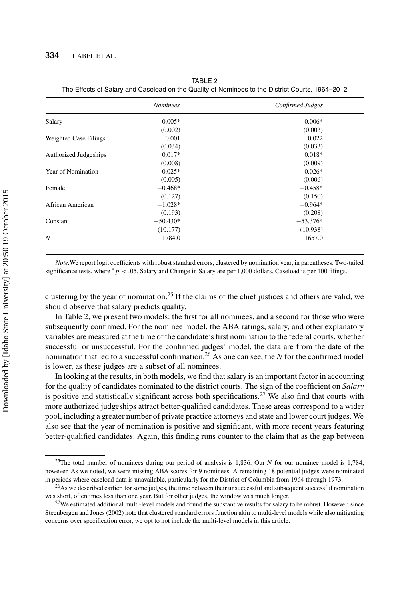| $0.005*$<br>(0.002) | $0.006*$                       |
|---------------------|--------------------------------|
|                     |                                |
|                     | (0.003)                        |
| 0.001               | 0.022                          |
| (0.034)             | (0.033)                        |
| $0.017*$            | $0.018*$                       |
| (0.008)             | (0.009)                        |
| $0.025*$            | $0.026*$                       |
| (0.005)             | (0.006)                        |
| $-0.468*$           | $-0.458*$                      |
|                     | (0.150)                        |
| $-1.028*$           | $-0.964*$                      |
|                     | (0.208)                        |
| $-50.430*$          | $-53.376*$                     |
|                     | (10.938)                       |
|                     |                                |
|                     | (0.127)<br>(0.193)<br>(10.177) |

TABLE 2 The Effects of Salary and Caseload on the Quality of Nominees to the District Courts, 1964–2012

*Note.*We report logit coefficients with robust standard errors, clustered by nomination year, in parentheses. Two-tailed significance tests, where  $\gamma p < .05$ . Salary and Change in Salary are per 1,000 dollars. Caseload is per 100 filings.

clustering by the year of nomination.<sup>25</sup> If the claims of the chief justices and others are valid, we should observe that salary predicts quality.

In Table 2, we present two models: the first for all nominees, and a second for those who were subsequently confirmed. For the nominee model, the ABA ratings, salary, and other explanatory variables are measured at the time of the candidate's first nomination to the federal courts, whether successful or unsuccessful. For the confirmed judges' model, the data are from the date of the nomination that led to a successful confirmation.<sup>26</sup> As one can see, the *N* for the confirmed model is lower, as these judges are a subset of all nominees.

In looking at the results, in both models, we find that salary is an important factor in accounting for the quality of candidates nominated to the district courts. The sign of the coefficient on *Salary* is positive and statistically significant across both specifications.<sup>27</sup> We also find that courts with more authorized judgeships attract better-qualified candidates. These areas correspond to a wider pool, including a greater number of private practice attorneys and state and lower court judges. We also see that the year of nomination is positive and significant, with more recent years featuring better-qualified candidates. Again, this finding runs counter to the claim that as the gap between

<sup>25</sup>The total number of nominees during our period of analysis is 1,836. Our *N* for our nominee model is 1,784, however. As we noted, we were missing ABA scores for 9 nominees. A remaining 18 potential judges were nominated in periods where caseload data is unavailable, particularly for the District of Columbia from 1964 through 1973.

<sup>&</sup>lt;sup>26</sup>As we described earlier, for some judges, the time between their unsuccessful and subsequent successful nomination was short, oftentimes less than one year. But for other judges, the window was much longer.

 $27$ We estimated additional multi-level models and found the substantive results for salary to be robust. However, since Steenbergen and Jones (2002) note that clustered standard errors function akin to multi-level models while also mitigating concerns over specification error, we opt to not include the multi-level models in this article.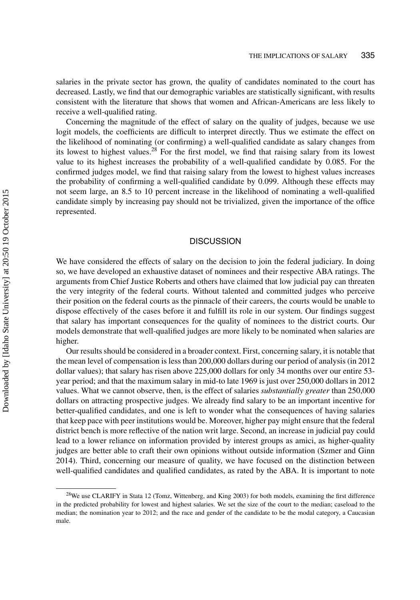salaries in the private sector has grown, the quality of candidates nominated to the court has decreased. Lastly, we find that our demographic variables are statistically significant, with results consistent with the literature that shows that women and African-Americans are less likely to receive a well-qualified rating.

Concerning the magnitude of the effect of salary on the quality of judges, because we use logit models, the coefficients are difficult to interpret directly. Thus we estimate the effect on the likelihood of nominating (or confirming) a well-qualified candidate as salary changes from its lowest to highest values.28 For the first model, we find that raising salary from its lowest value to its highest increases the probability of a well-qualified candidate by 0.085. For the confirmed judges model, we find that raising salary from the lowest to highest values increases the probability of confirming a well-qualified candidate by 0.099. Although these effects may not seem large, an 8.5 to 10 percent increase in the likelihood of nominating a well-qualified candidate simply by increasing pay should not be trivialized, given the importance of the office represented.

#### **DISCUSSION**

We have considered the effects of salary on the decision to join the federal judiciary. In doing so, we have developed an exhaustive dataset of nominees and their respective ABA ratings. The arguments from Chief Justice Roberts and others have claimed that low judicial pay can threaten the very integrity of the federal courts. Without talented and committed judges who perceive their position on the federal courts as the pinnacle of their careers, the courts would be unable to dispose effectively of the cases before it and fulfill its role in our system. Our findings suggest that salary has important consequences for the quality of nominees to the district courts. Our models demonstrate that well-qualified judges are more likely to be nominated when salaries are higher.

Our results should be considered in a broader context. First, concerning salary, it is notable that the mean level of compensation is less than 200,000 dollars during our period of analysis (in 2012 dollar values); that salary has risen above 225,000 dollars for only 34 months over our entire 53 year period; and that the maximum salary in mid-to late 1969 is just over 250,000 dollars in 2012 values. What we cannot observe, then, is the effect of salaries *substantially greater* than 250,000 dollars on attracting prospective judges. We already find salary to be an important incentive for better-qualified candidates, and one is left to wonder what the consequences of having salaries that keep pace with peer institutions would be. Moreover, higher pay might ensure that the federal district bench is more reflective of the nation writ large. Second, an increase in judicial pay could lead to a lower reliance on information provided by interest groups as amici, as higher-quality judges are better able to craft their own opinions without outside information (Szmer and Ginn 2014). Third, concerning our measure of quality, we have focused on the distinction between well-qualified candidates and qualified candidates, as rated by the ABA. It is important to note

<sup>&</sup>lt;sup>28</sup>We use CLARIFY in Stata 12 (Tomz, Wittenberg, and King 2003) for both models, examining the first difference in the predicted probability for lowest and highest salaries. We set the size of the court to the median; caseload to the median; the nomination year to 2012; and the race and gender of the candidate to be the modal category, a Caucasian male.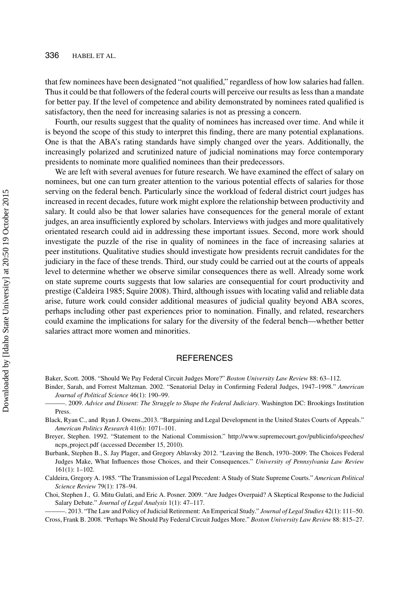that few nominees have been designated "not qualified," regardless of how low salaries had fallen. Thus it could be that followers of the federal courts will perceive our results as less than a mandate for better pay. If the level of competence and ability demonstrated by nominees rated qualified is satisfactory, then the need for increasing salaries is not as pressing a concern.

Fourth, our results suggest that the quality of nominees has increased over time. And while it is beyond the scope of this study to interpret this finding, there are many potential explanations. One is that the ABA's rating standards have simply changed over the years. Additionally, the increasingly polarized and scrutinized nature of judicial nominations may force contemporary presidents to nominate more qualified nominees than their predecessors.

We are left with several avenues for future research. We have examined the effect of salary on nominees, but one can turn greater attention to the various potential effects of salaries for those serving on the federal bench. Particularly since the workload of federal district court judges has increased in recent decades, future work might explore the relationship between productivity and salary. It could also be that lower salaries have consequences for the general morale of extant judges, an area insufficiently explored by scholars. Interviews with judges and more qualitatively orientated research could aid in addressing these important issues. Second, more work should investigate the puzzle of the rise in quality of nominees in the face of increasing salaries at peer institutions. Qualitative studies should investigate how presidents recruit candidates for the judiciary in the face of these trends. Third, our study could be carried out at the courts of appeals level to determine whether we observe similar consequences there as well. Already some work on state supreme courts suggests that low salaries are consequential for court productivity and prestige (Caldeira 1985; Squire 2008). Third, although issues with locating valid and reliable data arise, future work could consider additional measures of judicial quality beyond ABA scores, perhaps including other past experiences prior to nomination. Finally, and related, researchers could examine the implications for salary for the diversity of the federal bench—whether better salaries attract more women and minorities.

#### **REFERENCES**

Baker, Scott. 2008. "Should We Pay Federal Circuit Judges More?" *Boston University Law Review* 88: 63–112.

- Binder, Sarah, and Forrest Maltzman. 2002. "Senatorial Delay in Confirming Federal Judges, 1947–1998." *American Journal of Political Science* 46(1): 190–99.
- ———. 2009. *Advice and Dissent: The Struggle to Shape the Federal Judiciary*. Washington DC: Brookings Institution Press.
- Black, Ryan C., and Ryan J. Owens.,2013. "Bargaining and Legal Development in the United States Courts of Appeals." *American Politics Research* 41(6): 1071–101.
- Breyer, Stephen. 1992. "Statement to the National Commission." http://www.supremecourt.gov/publicinfo/speeches/ ncps project.pdf (accessed December 15, 2010).

Burbank, Stephen B., S. Jay Plager, and Gregory Ablavsky 2012. "Leaving the Bench, 1970–2009: The Choices Federal Judges Make, What Influences those Choices, and their Consequences." *University of Pennsylvania Law Review* 161(1): 1–102.

Caldeira, Gregory A. 1985. "The Transmission of Legal Precedent: A Study of State Supreme Courts." *American Political Science Review* 79(1): 178–94.

Choi, Stephen J., G. Mitu Gulati, and Eric A. Posner. 2009. "Are Judges Overpaid? A Skeptical Response to the Judicial Salary Debate." *Journal of Legal Analysis* 1(1): 47–117.

———. 2013. "The Law and Policy of Judicial Retirement: An Emperical Study." *Journal of Legal Studies* 42(1): 111–50. Cross, Frank B. 2008. "Perhaps We Should Pay Federal Circuit Judges More." *Boston University Law Review* 88: 815–27.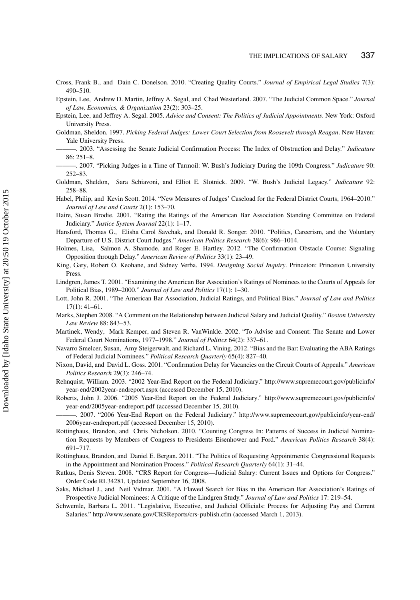- Cross, Frank B., and Dain C. Donelson. 2010. "Creating Quality Courts." *Journal of Empirical Legal Studies* 7(3): 490–510.
- Epstein, Lee, Andrew D. Martin, Jeffrey A. Segal, and Chad Westerland. 2007. "The Judicial Common Space." *Journal of Law, Economics, & Organization* 23(2): 303–25.
- Epstein, Lee, and Jeffrey A. Segal. 2005. *Advice and Consent: The Politics of Judicial Appointments*. New York: Oxford University Press.
- Goldman, Sheldon. 1997. *Picking Federal Judges: Lower Court Selection from Roosevelt through Reagan*. New Haven: Yale University Press.
	- ———. 2003. "Assessing the Senate Judicial Confirmation Process: The Index of Obstruction and Delay." *Judicature* 86: 251–8.
- ———. 2007. "Picking Judges in a Time of Turmoil: W. Bush's Judiciary During the 109th Congress." *Judicature* 90: 252–83.
- Goldman, Sheldon, Sara Schiavoni, and Elliot E. Slotnick. 2009. "W. Bush's Judicial Legacy." *Judicature* 92: 258–88.
- Habel, Philip, and Kevin Scott. 2014. "New Measures of Judges' Caseload for the Federal District Courts, 1964–2010." *Journal of Law and Courts* 2(1): 153–70.
- Haire, Susan Brodie. 2001. "Rating the Ratings of the American Bar Association Standing Committee on Federal Judiciary." *Justice System Journal* 22(1): 1–17.
- Hansford, Thomas G., Elisha Carol Savchak, and Donald R. Songer. 2010. "Politics, Careerism, and the Voluntary Departure of U.S. District Court Judges." *American Politics Research* 38(6): 986–1014.
- Holmes, Lisa, Salmon A. Shamode, and Roger E. Hartley. 2012. "The Confirmation Obstacle Course: Signaling Opposition through Delay." *American Review of Politics* 33(1): 23–49.
- King, Gary, Robert O. Keohane, and Sidney Verba. 1994. *Designing Social Inquiry*. Princeton: Princeton University Press.
- Lindgren, James T. 2001. "Examining the American Bar Association's Ratings of Nominees to the Courts of Appeals for Political Bias, 1989–2000." *Journal of Law and Politics* 17(1): 1–30.
- Lott, John R. 2001. "The American Bar Association, Judicial Ratings, and Political Bias." *Journal of Law and Politics* 17(1): 41–61.
- Marks, Stephen 2008. "A Comment on the Relationship between Judicial Salary and Judicial Quality." *Boston University Law Review* 88: 843–53.
- Martinek, Wendy, Mark Kemper, and Steven R. VanWinkle. 2002. "To Advise and Consent: The Senate and Lower Federal Court Nominations, 1977–1998." *Journal of Politics* 64(2): 337–61.
- Navarro Smelcer, Susan, Amy Steigerwalt, and Richard L. Vining. 2012. "Bias and the Bar: Evaluating the ABA Ratings of Federal Judicial Nominees." *Political Research Quarterly* 65(4): 827–40.
- Nixon, David, and David L. Goss. 2001. "Confirmation Delay for Vacancies on the Circuit Courts of Appeals." *American Politics Research* 29(3): 246–74.
- Rehnquist, William. 2003. "2002 Year-End Report on the Federal Judiciary." http://www.supremecourt.gov/publicinfo/ year-end/2002year-endreport.aspx (accessed December 15, 2010).
- Roberts, John J. 2006. "2005 Year-End Report on the Federal Judiciary." http://www.supremecourt.gov/publicinfo/ year-end/2005year-endreport.pdf (accessed December 15, 2010).
- ———. 2007. "2006 Year-End Report on the Federal Judiciary." http://www.supremecourt.gov/publicinfo/year-end/ 2006year-endreport.pdf (accessed December 15, 2010).
- Rottinghaus, Brandon, and Chris Nicholson. 2010. "Counting Congress In: Patterns of Success in Judicial Nomination Requests by Members of Congress to Presidents Eisenhower and Ford." *American Politics Research* 38(4): 691–717.
- Rottinghaus, Brandon, and Daniel E. Bergan. 2011. "The Politics of Requesting Appointments: Congressional Requests in the Appointment and Nomination Process." *Political Research Quarterly* 64(1): 31–44.
- Rutkus, Denis Steven. 2008. "CRS Report for Congress—Judicial Salary: Current Issues and Options for Congress." Order Code RL34281, Updated September 16, 2008.
- Saks, Michael J., and Neil Vidmar. 2001. "A Flawed Search for Bias in the American Bar Association's Ratings of Prospective Judicial Nominees: A Critique of the Lindgren Study." *Journal of Law and Politics* 17: 219–54.
- Schwemle, Barbara L. 2011. "Legislative, Executive, and Judicial Officials: Process for Adjusting Pay and Current Salaries." http://www.senate.gov/CRSReports/crs-publish.cfm (accessed March 1, 2013).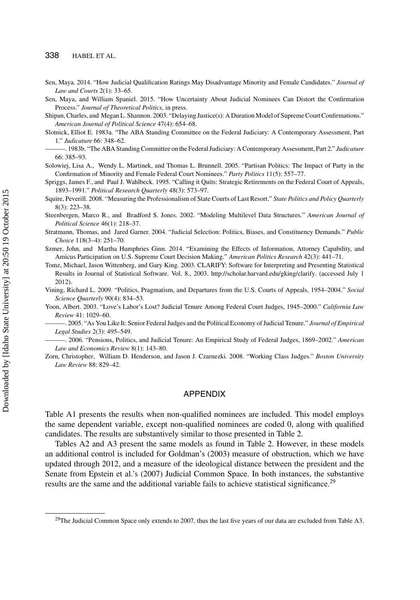#### 338 HABEL ET AL.

- Sen, Maya. 2014. "How Judicial Qualification Ratings May Disadvantage Minority and Female Candidates." *Journal of Law and Courts* 2(1): 33–65.
- Sen, Maya, and William Spaniel. 2015. "How Uncertainty About Judicial Nominees Can Distort the Confirmation Process." *Journal of Theoretical Politics*, in press.
- Shipan, Charles, and Megan L. Shannon. 2003. "Delaying Justice(s): A Duration Model of Supreme Court Confirmations." *American Journal of Political Science* 47(4): 654–68.
- Slotnick, Elliot E. 1983a. "The ABA Standing Committee on the Federal Judiciary: A Contemporary Assessment, Part 1." *Judicature* 66: 348–62.

———. 1983b. "The ABA Standing Committee on the Federal Judiciary: A Contemporary Assessment, Part 2." *Judicature* 66: 385–93.

- Solowiej, Lisa A., Wendy L. Martinek, and Thomas L. Brunnell. 2005. "Partisan Politics: The Impact of Party in the Confirmation of Minority and Female Federal Court Nominees." *Party Politics* 11(5): 557–77.
- Spriggs, James F., and Paul J. Wahlbeck. 1995. "Calling it Quits: Strategic Retirements on the Federal Court of Appeals, 1893–1991." *Political Research Quarterly* 48(3): 573–97.
- Squire, Peverill. 2008. "Measuring the Professionalism of State Courts of Last Resort." *State Politics and Policy Quarterly* 8(3): 223–38.
- Steenbergen, Marco R., and Bradford S. Jones. 2002. "Modeling Multilevel Data Structures." *American Journal of Political Science* 46(1): 218–37.
- Stratmann, Thomas, and Jared Garner. 2004. "Judicial Selection: Politics, Biases, and Constituency Demands." *Public Choice* 118(3–4): 251–70.
- Szmer, John, and Martha Humphries Ginn. 2014. "Examining the Effects of Information, Attorney Capability, and Amicus Participation on U.S. Supreme Court Decision Making." *American Politics Research* 42(3): 441–71.
- Tomz, Michael, Jason Wittenberg, and Gary King. 2003. CLARIFY: Software for Interpreting and Presenting Statistical Results in Journal of Statistical Software. Vol. 8., 2003. http://scholar.harvard.edu/gking/clarify. (accessed July 1 2012).
- Vining, Richard L. 2009. "Politics, Pragmatism, and Departures from the U.S. Courts of Appeals, 1954–2004." *Social Science Quarterly* 90(4): 834–53.
- Yoon, Albert. 2003. "Love's Labor's Lost? Judicial Tenure Among Federal Court Judges, 1945–2000." *California Law Review* 41: 1029–60.
	- ———. 2005. "As You Like It: Senior Federal Judges and the Political Economy of Judicial Tenure." *Journal of Empirical Legal Studies* 2(3): 495–549.
	- ———. 2006. "Pensions, Politics, and Judicial Tenure: An Empirical Study of Federal Judges, 1869–2002." *American Law and Economics Review* 8(1): 143–80.
- Zorn, Christopher, William D. Henderson, and Jason J. Czarnezki. 2008. "Working Class Judges." *Boston University Law Review* 88: 829–42.

#### APPENDIX

Table A1 presents the results when non-qualified nominees are included. This model employs the same dependent variable, except non-qualified nominees are coded 0, along with qualified candidates. The results are substantively similar to those presented in Table 2.

Tables A2 and A3 present the same models as found in Table 2. However, in these models an additional control is included for Goldman's (2003) measure of obstruction, which we have updated through 2012, and a measure of the ideological distance between the president and the Senate from Epstein et al.'s (2007) Judicial Common Space. In both instances, the substantive results are the same and the additional variable fails to achieve statistical significance.<sup>29</sup>

 $29$ The Judicial Common Space only extends to 2007, thus the last five years of our data are excluded from Table A3.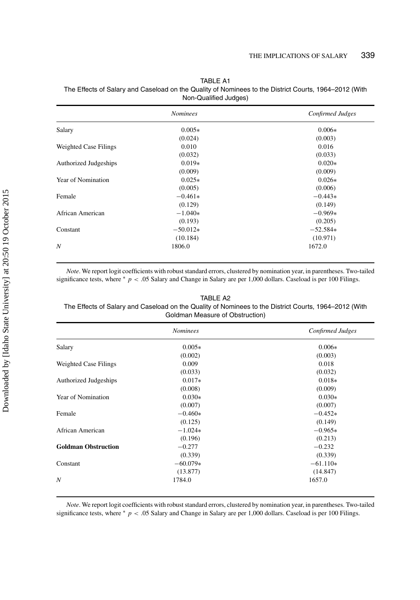| TABLE A1                                                                                              |
|-------------------------------------------------------------------------------------------------------|
| The Effects of Salary and Caseload on the Quality of Nominees to the District Courts, 1964–2012 (With |
| Non-Qualified Judges)                                                                                 |

|                              | <b>Nominees</b> | Confirmed Judges |
|------------------------------|-----------------|------------------|
| Salary                       | $0.005*$        | $0.006*$         |
|                              | (0.024)         | (0.003)          |
| <b>Weighted Case Filings</b> | 0.010           | 0.016            |
|                              | (0.032)         | (0.033)          |
| Authorized Judgeships        | $0.019*$        | $0.020*$         |
|                              | (0.009)         | (0.009)          |
| Year of Nomination           | $0.025*$        | $0.026*$         |
|                              | (0.005)         | (0.006)          |
| Female                       | $-0.461*$       | $-0.443*$        |
|                              | (0.129)         | (0.149)          |
| African American             | $-1.040*$       | $-0.969*$        |
|                              | (0.193)         | (0.205)          |
| Constant                     | $-50.012*$      | $-52.584*$       |
|                              | (10.184)        | (10.971)         |
| Ν                            | 1806.0          | 1672.0           |

*Note*. We report logit coefficients with robust standard errors, clustered by nomination year, in parentheses. Two-tailed significance tests, where  $* p < .05$  Salary and Change in Salary are per 1,000 dollars. Caseload is per 100 Filings.

TABLE A2 The Effects of Salary and Caseload on the Quality of Nominees to the District Courts, 1964–2012 (With Goldman Measure of Obstruction)

|                            | <b>Nominees</b> | Confirmed Judges |
|----------------------------|-----------------|------------------|
| Salary                     | $0.005*$        | $0.006*$         |
|                            | (0.002)         | (0.003)          |
| Weighted Case Filings      | 0.009           | 0.018            |
|                            | (0.033)         | (0.032)          |
| Authorized Judgeships      | $0.017*$        | $0.018*$         |
|                            | (0.008)         | (0.009)          |
| Year of Nomination         | $0.030*$        | $0.030*$         |
|                            | (0.007)         | (0.007)          |
| Female                     | $-0.460*$       | $-0.452*$        |
|                            | (0.125)         | (0.149)          |
| African American           | $-1.024*$       | $-0.965*$        |
|                            | (0.196)         | (0.213)          |
| <b>Goldman Obstruction</b> | $-0.277$        | $-0.232$         |
|                            | (0.339)         | (0.339)          |
| Constant                   | $-60.079*$      | $-61.110*$       |
|                            | (13.877)        | (14.847)         |
| N                          | 1784.0          | 1657.0           |

*Note*. We report logit coefficients with robust standard errors, clustered by nomination year, in parentheses. Two-tailed significance tests, where \* *p* < .05 Salary and Change in Salary are per 1,000 dollars. Caseload is per 100 Filings.